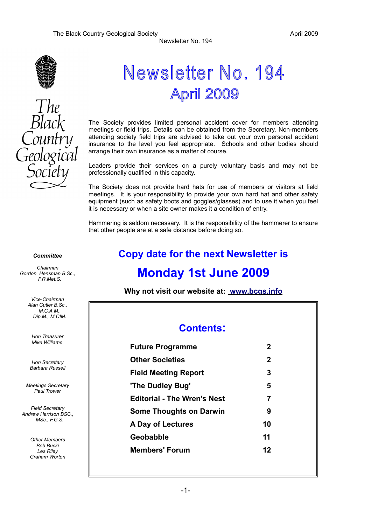# $The$ Black

# Newsletter No. 194 April 2009

Newsletter No. 194

The Society provides limited personal accident cover for members attending meetings or field trips. Details can be obtained from the Secretary. Non-members attending society field trips are advised to take out your own personal accident insurance to the level you feel appropriate. Schools and other bodies should arrange their own insurance as a matter of course.

Leaders provide their services on a purely voluntary basis and may not be professionally qualified in this capacity.

The Society does not provide hard hats for use of members or visitors at field meetings. It is your responsibility to provide your own hard hat and other safety equipment (such as safety boots and goggles/glasses) and to use it when you feel it is necessary or when a site owner makes it a condition of entry.

Hammering is seldom necessary. It is the responsibility of the hammerer to ensure that other people are at a safe distance before doing so.

#### *Committee*

*Chairman Gordon Hensman B.Sc., F.R.Met.S.*

> *Vice-Chairman Alan Cutler B.Sc., M.C.A.M., Dip.M., M.CIM.*

*Hon Treasurer Mike Williams* 

*Hon Secretary Barbara Russell*

*Meetings Secretary Paul Trower*

*Field Secretary Andrew Harrison BSC., MSc., F.G.S.*

> *Other Members Bob Bucki Les Riley Graham Worton*

# **Copy date for the next Newsletter is**

# **Monday 1st June 2009**

**Why not visit our website at: [www.bcgs.info](http://www.bcgs.info/)**

#### **Contents:**

| <b>Future Programme</b>            | $\mathbf 2$ |
|------------------------------------|-------------|
| <b>Other Societies</b>             | $\mathbf 2$ |
| <b>Field Meeting Report</b>        | 3           |
| 'The Dudley Bug'                   | 5           |
| <b>Editorial - The Wren's Nest</b> | 7           |
| <b>Some Thoughts on Darwin</b>     | 9           |
| A Day of Lectures                  | 10          |
| Geobabble                          | 11          |
| <b>Members' Forum</b>              | 12          |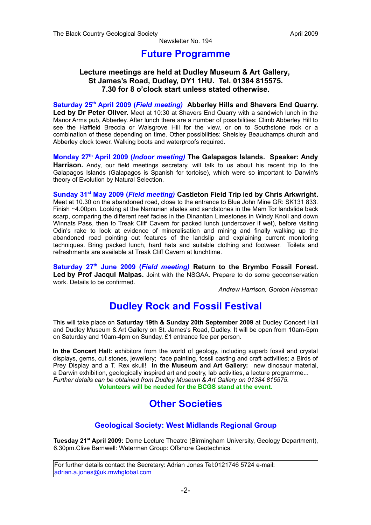#### **Future Programme**

#### **Lecture meetings are held at Dudley Museum & Art Gallery, St James's Road, Dudley, DY1 1HU. Tel. 01384 815575. 7.30 for 8 o'clock start unless stated otherwise.**

**Saturday 25th April 2009 (***Field meeting)* **Abberley Hills and Shavers End Quarry. Led by Dr Peter Oliver.** Meet at 10:30 at Shavers End Quarry with a sandwich lunch in the Manor Arms pub, Abberley. After lunch there are a number of possibilities: Climb Abberley Hill to see the Haffield Breccia or Walsgrove Hill for the view, or on to Southstone rock or a combination of these depending on time. Other possibilities: Shelsley Beauchamps church and Abberley clock tower. Walking boots and waterproofs required.

**Monday 27th April 2009 (***Indoor meeting)* **The Galapagos Islands. Speaker: Andy Harrison.** Andy, our field meetings secretary, will talk to us about his recent trip to the Galapagos Islands (Galapagos is Spanish for tortoise), which were so important to Darwin's theory of Evolution by Natural Selection.

**Sunday 31st May 2009 (***Field meeting)* **Castleton Field Trip led by Chris Arkwright.** Meet at 10.30 on the abandoned road, close to the entrance to Blue John Mine GR: SK131 833. Finish ~4.00pm. Looking at the Namurian shales and sandstones in the Mam Tor landslide back scarp, comparing the different reef facies in the Dinantian Limestones in Windy Knoll and down Winnats Pass, then to Treak Cliff Cavern for packed lunch (undercover if wet), before visiting Odin's rake to look at evidence of mineralisation and mining and finally walking up the abandoned road pointing out features of the landslip and explaining current monitoring techniques. Bring packed lunch, hard hats and suitable clothing and footwear. Toilets and refreshments are available at Treak Cliff Cavern at lunchtime.

**Saturday 27th June 2009 (***Field meeting)* **Return to the Brymbo Fossil Forest. Led by Prof Jacqui Malpas.** Joint with the NSGAA. Prepare to do some geoconservation work. Details to be confirmed.

*Andrew Harrison, Gordon Hensman*

# **Dudley Rock and Fossil Festival**

This will take place on **Saturday 19th & Sunday 20th September 2009** at Dudley Concert Hall and Dudley Museum & Art Gallery on St. James's Road, Dudley. It will be open from 10am-5pm on Saturday and 10am-4pm on Sunday. £1 entrance fee per person.

**In the Concert Hall:** exhibitors from the world of geology, including superb fossil and crystal displays, gems, cut stones, jewellery; face painting, fossil casting and craft activities; a Birds of Prey Display and a T. Rex skull! **In the Museum and Art Gallery:** new dinosaur material, a Darwin exhibition, geologically inspired art and poetry, lab activities, a lecture programme... *Further details can be obtained from Dudley Museum & Art Gallery on 01384 815575.* **Volunteers will be needed for the BCGS stand at the event.**

# **Other Societies**

#### **Geological Society: West Midlands Regional Group**

**Tuesday 21st April 2009:** Dome Lecture Theatre (Birmingham University, Geology Department), 6.30pm.Clive Barnwell: Waterman Group: Offshore Geotechnics.

For further details contact the Secretary: Adrian Jones Tel:0121746 5724 e-mail: [adrian.a.jones@uk.mwhglobal.com](mailto:adrian.a.jones@uk.mwhglobal.com)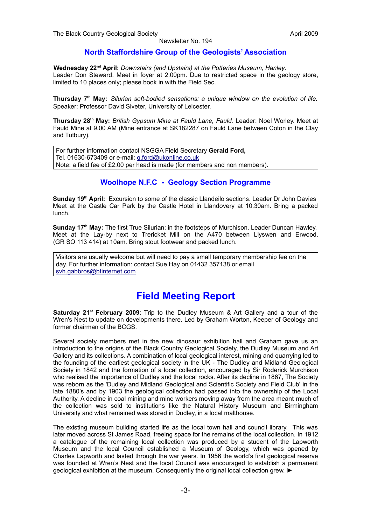#### **North Staffordshire Group of the Geologists' Association**

**Wednesday 22nd April:** *Downstairs (and Upstairs) at the Potteries Museum, Hanley*. Leader Don Steward. Meet in foyer at 2.00pm. Due to restricted space in the geology store, limited to 10 places only; please book in with the Field Sec.

**Thursday 7th May:** *Silurian soft-bodied sensations: a unique window on the evolution of life.* Speaker: Professor David Siveter, University of Leicester.

**Thursday 28th May:** *British Gypsum Mine at Fauld Lane, Fauld.* Leader: Noel Worley. Meet at Fauld Mine at 9.00 AM (Mine entrance at SK182287 on Fauld Lane between Coton in the Clay and Tutbury).

For further information contact NSGGA Field Secretary **Gerald Ford,** Tel. 01630-673409 or e-mail: [g.ford@ukonline.co.uk](mailto:g.ford@ukonline.co.uk) Note: a field fee of £2.00 per head is made (for members and non members).

#### **Woolhope N.F.C - Geology Section Programme**

**Sunday 19th April:** Excursion to some of the classic Llandeilo sections. Leader Dr John Davies Meet at the Castle Car Park by the Castle Hotel in Llandovery at 10.30am. Bring a packed lunch.

**Sunday 17th May:** The first True Silurian: in the footsteps of Murchison. Leader Duncan Hawley. Meet at the Lay-by next to Trericket Mill on the A470 between Llyswen and Erwood. (GR SO 113 414) at 10am. Bring stout footwear and packed lunch.

Visitors are usually welcome but will need to pay a small temporary membership fee on the day. For further information: contact Sue Hay on 01432 357138 or email [svh.gabbros@btinternet.com](mailto:svh.gabbros@btinternet.com)

# **Field Meeting Report**

**Saturday 21st February 2009**: Trip to the Dudley Museum & Art Gallery and a tour of the Wren's Nest to update on developments there. Led by Graham Worton, Keeper of Geology and former chairman of the BCGS.

Several society members met in the new dinosaur exhibition hall and Graham gave us an introduction to the origins of the Black Country Geological Society, the Dudley Museum and Art Gallery and its collections. A combination of local geological interest, mining and quarrying led to the founding of the earliest geological society in the UK - The Dudley and Midland Geological Society in 1842 and the formation of a local collection, encouraged by Sir Roderick Murchison who realised the importance of Dudley and the local rocks. After its decline in 1867, The Society was reborn as the 'Dudley and Midland Geological and Scientific Society and Field Club' in the late 1880's and by 1903 the geological collection had passed into the ownership of the Local Authority. A decline in coal mining and mine workers moving away from the area meant much of the collection was sold to institutions like the Natural History Museum and Birmingham University and what remained was stored in Dudley, in a local malthouse.

The existing museum building started life as the local town hall and council library. This was later moved across St James Road, freeing space for the remains of the local collection. In 1912 a catalogue of the remaining local collection was produced by a student of the Lapworth Museum and the local Council established a Museum of Geology, which was opened by Charles Lapworth and lasted through the war years. In 1956 the world's first geological reserve was founded at Wren's Nest and the local Council was encouraged to establish a permanent geological exhibition at the museum. Consequently the original local collection grew. ►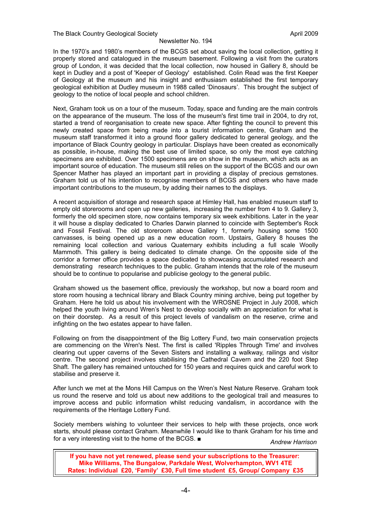In the 1970's and 1980's members of the BCGS set about saving the local collection, getting it properly stored and catalogued in the museum basement. Following a visit from the curators group of London, it was decided that the local collection, now housed in Gallery 8, should be kept in Dudley and a post of 'Keeper of Geology' established. Colin Read was the first Keeper of Geology at the museum and his insight and enthusiasm established the first temporary geological exhibition at Dudley museum in 1988 called 'Dinosaurs'. This brought the subject of geology to the notice of local people and school children.

Next, Graham took us on a tour of the museum. Today, space and funding are the main controls on the appearance of the museum. The loss of the museum's first time trail in 2004, to dry rot, started a trend of reorganisation to create new space. After fighting the council to prevent this newly created space from being made into a tourist information centre, Graham and the museum staff transformed it into a ground floor gallery dedicated to general geology, and the importance of Black Country geology in particular. Displays have been created as economically as possible, in-house, making the best use of limited space, so only the most eye catching specimens are exhibited. Over 1500 specimens are on show in the museum, which acts as an important source of education. The museum still relies on the support of the BCGS and our own Spencer Mather has played an important part in providing a display of precious gemstones. Graham told us of his intention to recognise members of BCGS and others who have made important contributions to the museum, by adding their names to the displays.

A recent acquisition of storage and research space at Himley Hall, has enabled museum staff to empty old storerooms and open up new galleries, increasing the number from 4 to 9. Gallery 3, formerly the old specimen store, now contains temporary six week exhibitions. Later in the year it will house a display dedicated to Charles Darwin planned to coincide with September's Rock and Fossil Festival. The old storeroom above Gallery 1, formerly housing some 1500 canvasses, is being opened up as a new education room. Upstairs, Gallery 8 houses the remaining local collection and various Quaternary exhibits including a full scale Woolly Mammoth. This gallery is being dedicated to climate change. On the opposite side of the corridor a former office provides a space dedicated to showcasing accumulated research and demonstrating research techniques to the public. Graham intends that the role of the museum should be to continue to popularise and publicise geology to the general public.

Graham showed us the basement office, previously the workshop, but now a board room and store room housing a technical library and Black Country mining archive, being put together by Graham. Here he told us about his involvement with the WROSNE Project in July 2008, which helped the youth living around Wren's Nest to develop socially with an appreciation for what is on their doorstep. As a result of this project levels of vandalism on the reserve, crime and infighting on the two estates appear to have fallen.

Following on from the disappointment of the Big Lottery Fund, two main conservation projects are commencing on the Wren's Nest. The first is called 'Ripples Through Time' and involves clearing out upper caverns of the Seven Sisters and installing a walkway, railings and visitor centre. The second project involves stabilising the Cathedral Cavern and the 220 foot Step Shaft. The gallery has remained untouched for 150 years and requires quick and careful work to stabilise and preserve it.

After lunch we met at the Mons Hill Campus on the Wren's Nest Nature Reserve. Graham took us round the reserve and told us about new additions to the geological trail and measures to improve access and public information whilst reducing vandalism, in accordance with the requirements of the Heritage Lottery Fund.

Society members wishing to volunteer their services to help with these projects, once work starts, should please contact Graham. Meanwhile I would like to thank Graham for his time and for a very interesting visit to the home of the BCGS. ■ *Andrew Harrison*

**If you have not yet renewed, please send your subscriptions to the Treasurer: Mike Williams, The Bungalow, Parkdale West, Wolverhampton, WV1 4TE Rates: Individual £20, 'Family' £30, Full time student £5, Group/ Company £35**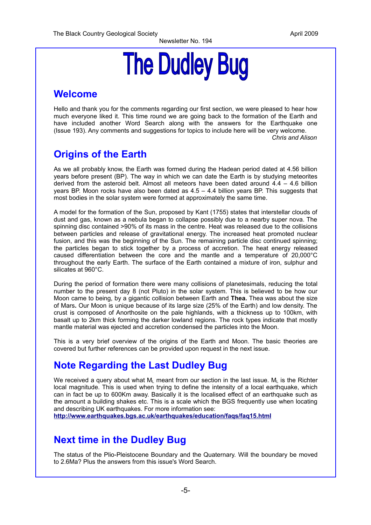# **The Dudley Bug**

# **Welcome**

Hello and thank you for the comments regarding our first section, we were pleased to hear how much everyone liked it. This time round we are going back to the formation of the Earth and have included another Word Search along with the answers for the Earthquake one (Issue 193). Any comments and suggestions for topics to include here will be very welcome. *Chris and Alison*

# **Origins of the Earth**

As we all probably know, the Earth was formed during the Hadean period dated at 4.56 billion years before present (BP). The way in which we can date the Earth is by studying meteorites derived from the asteroid belt. Almost all meteors have been dated around 4.4 – 4.6 billion years BP. Moon rocks have also been dated as 4.5 – 4.4 billion years BP. This suggests that most bodies in the solar system were formed at approximately the same time.

A model for the formation of the Sun, proposed by Kant (1755) states that interstellar clouds of dust and gas, known as a nebula began to collapse possibly due to a nearby super nova. The spinning disc contained >90% of its mass in the centre. Heat was released due to the collisions between particles and release of gravitational energy. The increased heat promoted nuclear fusion, and this was the beginning of the Sun. The remaining particle disc continued spinning; the particles began to stick together by a process of accretion. The heat energy released caused differentiation between the core and the mantle and a temperature of 20,000°C throughout the early Earth. The surface of the Earth contained a mixture of iron, sulphur and silicates at 960°C.

During the period of formation there were many collisions of planetesimals, reducing the total number to the present day 8 (not Pluto) in the solar system. This is believed to be how our Moon came to being, by a gigantic collision between Earth and **Thea.** Thea was about the size of Mars**.** Our Moon is unique because of its large size (25% of the Earth) and low density. The crust is composed of Anorthosite on the pale highlands, with a thickness up to 100km, with basalt up to 2km thick forming the darker lowland regions. The rock types indicate that mostly mantle material was ejected and accretion condensed the particles into the Moon.

This is a very brief overview of the origins of the Earth and Moon. The basic theories are covered but further references can be provided upon request in the next issue.

# **Note Regarding the Last Dudley Bug**

We received a query about what  $M_L$  meant from our section in the last issue.  $M_L$  is the Richter local magnitude. This is used when trying to define the intensity of a local earthquake, which can in fact be up to 600Km away. Basically it is the localised effect of an earthquake such as the amount a building shakes etc. This is a scale which the BGS frequently use when locating and describing UK earthquakes. For more information see:

**<http://www.earthquakes.bgs.ac.uk/earthquakes/education/faqs/faq15.html>**

# **Next time in the Dudley Bug**

The status of the Plio-Pleistocene Boundary and the Quaternary. Will the boundary be moved to 2.6Ma? Plus the answers from this issue's Word Search.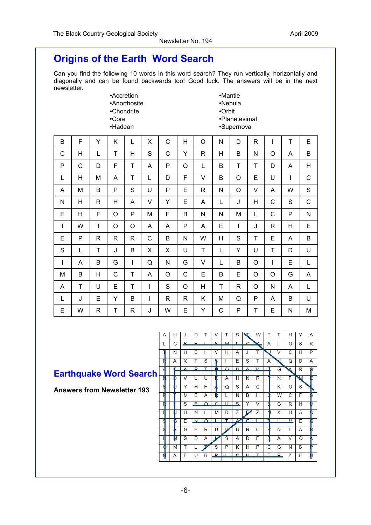# **Origins of the Earth Word Search**

Can you find the following 10 words in this word search? They run vertically, horizontally and diagonally and can be found backwards too! Good luck. The answers will be in the next newsletter.

| •Accretion   |
|--------------|
| •Anorthosite |
| •Chondrite   |
| •Core        |
| •Hadean      |

•Mantle •Nebula •Orbit •Planetesimal •Supernova

| B            | F | Y            | Κ            | L            | X | C            | H            | $\circ$      | N | D | $\mathsf{R}$ | I | T           | E            |
|--------------|---|--------------|--------------|--------------|---|--------------|--------------|--------------|---|---|--------------|---|-------------|--------------|
| $\mathsf{C}$ | H | L            | T            | H            | S | C            | Υ            | $\mathsf{R}$ | H | B | N            | O | A           | B            |
| P            | C | D            | F            | T            | A | P            | O            | L            | B | T | T            | D | A           | Η            |
| L            | H | M            | Α            | T            | L | D            | F            | V            | B | O | E            | U | I           | C            |
| Α            | M | B            | P            | S            | U | P            | E            | $\mathsf{R}$ | N | O | V            | A | W           | S            |
| N            | H | $\mathsf{R}$ | H            | A            | V | Y            | E            | A            | L | J | Н            | C | $\mathbf S$ | C            |
| E            | H | F            | O            | P            | M | F            | B            | N            | N | M | L            | C | P           | $\mathsf{N}$ |
| T            | W | T            | O            | O            | A | A            | P            | A            | E | I | J            | R | Н           | E            |
| E            | P | $\mathsf{R}$ | $\mathsf{R}$ | R            | C | B            | N            | W            | H | S | T            | E | A           | B            |
| S            | L | T            | J            | В            | X | X            | U            | T            | L | Y | U            | T | D           | U            |
| I            | A | B            | G            | $\mathbf{I}$ | Q | N            | G            | V            | L | B | O            | T | E           | L            |
| M            | В | H            | C            | T            | A | O            | C            | E            | B | E | O            | O | G           | A            |
| A            | T | U            | E            | T            | I | S            | O            | H            | T | R | O            | N | A           | L            |
| L            | J | E            | Υ            | B            | I | $\mathsf{R}$ | $\mathsf{R}$ | Κ            | M | Q | P            | A | B           | U            |
| E            | W | R            | T            | R            | J | W            | E            | Y            | C | P | T            | E | N           | M            |

# **Earthquake Word Search**

**Answers from Newsletter 193**

| $\mathbf{z}$<br>E<br>$\mathbf{C}$<br><b>M</b><br>$\Gamma$<br>$\overline{\mathbf{z}}$<br>п<br>٠<br>Α<br>S<br>L<br>G<br>ŧ<br>O<br>U<br>V<br>Т<br>C<br>Ε<br>V<br>J<br>Н<br>N<br>Н<br>1<br>н<br>A<br>Ŧ<br>Τ<br>F<br>S<br>E<br>S<br>W<br>Q<br>A<br>X<br>A<br>D<br>\$<br>I<br>T<br>$\Delta$<br>$\overline{R}$<br>$\Delta$<br>K<br>Æ<br>$\Omega$<br>п<br>Æ<br>G<br>R<br>$\blacktriangle$<br>F<br>N<br>N<br>F<br>M<br>$\vee$<br>H<br>N<br>R<br>L<br>U<br>A<br><b>ID</b><br>ś<br>S<br>S<br>Y<br>Η<br>Н<br>A<br>$\overline{C}$<br>K<br>ΠI<br>Q<br>$\circ$<br>F<br>B<br>R<br>N<br>B<br>н<br>W<br>С<br>F<br>M<br>A<br>L<br>Œ<br>$\overline{C}$<br>E<br>u<br>S.<br>E<br>F<br>S<br>$\Omega$<br>Y<br>V<br>G<br>Н<br>R<br>Ē<br>Ζ<br>Η<br>Z<br>N<br>H<br>N<br>X<br>н<br>m<br>M<br>Α<br>D<br>Р<br>$\overline{1}$<br>$\Omega$<br>$\overline{\mathcal{L}}$<br>G<br>Ś<br>$\mathbf{M}$<br>M<br>¢<br>E<br>٠<br>E<br>Ś<br>G<br>E<br>$\mathsf{R}$<br>C<br>$\mathsf{R}$<br>U<br>F<br>N<br>L<br>A<br>$\mathbf{U}$<br>ıМ<br>q<br>S<br>D<br>S<br>F<br>A<br>D<br>A<br>V<br>$\Omega$<br>Α<br>M<br>Т<br>S<br>P<br>Κ<br>$\mathbf C$<br>N<br>н<br>P<br>B<br>т<br>G<br>$\Phi$<br>$\Gamma$<br>H<br>F<br>R<br>T<br>F<br>$\mathsf{R}$<br>Z<br>N<br>U<br>B<br>F<br>A | $\mathcal{A}$ | п | J | υ | v | э | <b>VV</b> | c | п | ۲ | Α  |
|-------------------------------------------------------------------------------------------------------------------------------------------------------------------------------------------------------------------------------------------------------------------------------------------------------------------------------------------------------------------------------------------------------------------------------------------------------------------------------------------------------------------------------------------------------------------------------------------------------------------------------------------------------------------------------------------------------------------------------------------------------------------------------------------------------------------------------------------------------------------------------------------------------------------------------------------------------------------------------------------------------------------------------------------------------------------------------------------------------------------------------------------------------------------------------------------------------------------------------|---------------|---|---|---|---|---|-----------|---|---|---|----|
|                                                                                                                                                                                                                                                                                                                                                                                                                                                                                                                                                                                                                                                                                                                                                                                                                                                                                                                                                                                                                                                                                                                                                                                                                               |               |   |   |   |   |   |           |   |   |   | K  |
|                                                                                                                                                                                                                                                                                                                                                                                                                                                                                                                                                                                                                                                                                                                                                                                                                                                                                                                                                                                                                                                                                                                                                                                                                               |               |   |   |   |   |   |           |   |   |   | P  |
|                                                                                                                                                                                                                                                                                                                                                                                                                                                                                                                                                                                                                                                                                                                                                                                                                                                                                                                                                                                                                                                                                                                                                                                                                               |               |   |   |   |   |   |           |   |   |   | Α  |
|                                                                                                                                                                                                                                                                                                                                                                                                                                                                                                                                                                                                                                                                                                                                                                                                                                                                                                                                                                                                                                                                                                                                                                                                                               |               |   |   |   |   |   |           |   |   |   | \$ |
|                                                                                                                                                                                                                                                                                                                                                                                                                                                                                                                                                                                                                                                                                                                                                                                                                                                                                                                                                                                                                                                                                                                                                                                                                               |               |   |   |   |   |   |           |   |   |   |    |
|                                                                                                                                                                                                                                                                                                                                                                                                                                                                                                                                                                                                                                                                                                                                                                                                                                                                                                                                                                                                                                                                                                                                                                                                                               |               |   |   |   |   |   |           |   |   |   |    |
|                                                                                                                                                                                                                                                                                                                                                                                                                                                                                                                                                                                                                                                                                                                                                                                                                                                                                                                                                                                                                                                                                                                                                                                                                               |               |   |   |   |   |   |           |   |   |   |    |
|                                                                                                                                                                                                                                                                                                                                                                                                                                                                                                                                                                                                                                                                                                                                                                                                                                                                                                                                                                                                                                                                                                                                                                                                                               |               |   |   |   |   |   |           |   |   |   | И  |
|                                                                                                                                                                                                                                                                                                                                                                                                                                                                                                                                                                                                                                                                                                                                                                                                                                                                                                                                                                                                                                                                                                                                                                                                                               |               |   |   |   |   |   |           |   |   |   |    |
|                                                                                                                                                                                                                                                                                                                                                                                                                                                                                                                                                                                                                                                                                                                                                                                                                                                                                                                                                                                                                                                                                                                                                                                                                               |               |   |   |   |   |   |           |   |   |   | B  |
|                                                                                                                                                                                                                                                                                                                                                                                                                                                                                                                                                                                                                                                                                                                                                                                                                                                                                                                                                                                                                                                                                                                                                                                                                               |               |   |   |   |   |   |           |   |   |   | R  |
|                                                                                                                                                                                                                                                                                                                                                                                                                                                                                                                                                                                                                                                                                                                                                                                                                                                                                                                                                                                                                                                                                                                                                                                                                               |               |   |   |   |   |   |           |   |   |   |    |
|                                                                                                                                                                                                                                                                                                                                                                                                                                                                                                                                                                                                                                                                                                                                                                                                                                                                                                                                                                                                                                                                                                                                                                                                                               |               |   |   |   |   |   |           |   |   |   | D  |
|                                                                                                                                                                                                                                                                                                                                                                                                                                                                                                                                                                                                                                                                                                                                                                                                                                                                                                                                                                                                                                                                                                                                                                                                                               |               |   |   |   |   |   |           |   |   |   |    |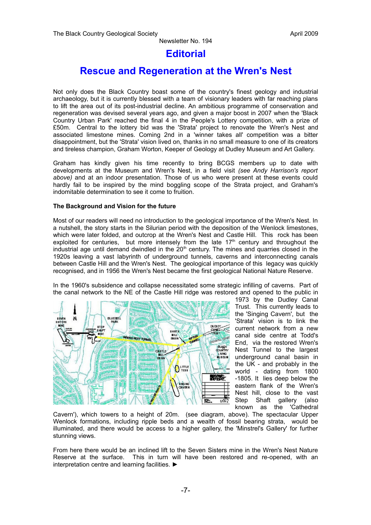#### **Editorial**

# **Rescue and Regeneration at the Wren's Nest**

Not only does the Black Country boast some of the country's finest geology and industrial archaeology, but it is currently blessed with a team of visionary leaders with far reaching plans to lift the area out of its post-industrial decline. An ambitious programme of conservation and regeneration was devised several years ago, and given a major boost in 2007 when the 'Black Country Urban Park' reached the final 4 in the People's Lottery competition, with a prize of £50m. Central to the lottery bid was the 'Strata' project to renovate the Wren's Nest and associated limestone mines. Coming 2nd in a 'winner takes all' competition was a bitter disappointment, but the 'Strata' vision lived on, thanks in no small measure to one of its creators and tireless champion, Graham Worton, Keeper of Geology at Dudley Museum and Art Gallery.

Graham has kindly given his time recently to bring BCGS members up to date with developments at the Museum and Wren's Nest, in a field visit *(see Andy Harrison's report above)* and at an indoor presentation. Those of us who were present at these events could hardly fail to be inspired by the mind boggling scope of the Strata project, and Graham's indomitable determination to see it come to fruition.

#### **The Background and Vision for the future**

Most of our readers will need no introduction to the geological importance of the Wren's Nest. In a nutshell, the story starts in the Silurian period with the deposition of the Wenlock limestones, which were later folded, and outcrop at the Wren's Nest and Castle Hill. This rock has been exploited for centuries, but more intensely from the late  $17<sup>th</sup>$  century and throughout the  $int$ industrial age until demand dwindled in the  $20<sup>th</sup>$  century. The mines and quarries closed in the 1920s leaving a vast labyrinth of underground tunnels, caverns and interconnecting canals between Castle Hill and the Wren's Nest. The geological importance of this legacy was quickly recognised, and in 1956 the Wren's Nest became the first geological National Nature Reserve.

In the 1960's subsidence and collapse necessitated some strategic infilling of caverns. Part of the canal network to the NE of the Castle Hill ridge was restored and opened to the public in



1973 by the Dudley Canal Trust. This currently leads to the 'Singing Cavern', but the 'Strata' vision is to link the current network from a new canal side centre at Todd's End, via the restored Wren's Nest Tunnel to the largest underground canal basin in the UK - and probably in the world - dating from 1800 -1805. It lies deep below the eastern flank of the Wren's Nest hill, close to the vast Step Shaft gallery (also known as the 'Cathedral

Cavern'), which towers to a height of 20m. (see diagram, above). The spectacular Upper Wenlock formations, including ripple beds and a wealth of fossil bearing strata, would be illuminated, and there would be access to a higher gallery, the 'Minstrel's Gallery' for further stunning views.

From here there would be an inclined lift to the Seven Sisters mine in the Wren's Nest Nature Reserve at the surface. This in turn will have been restored and re-opened, with an interpretation centre and learning facilities. ►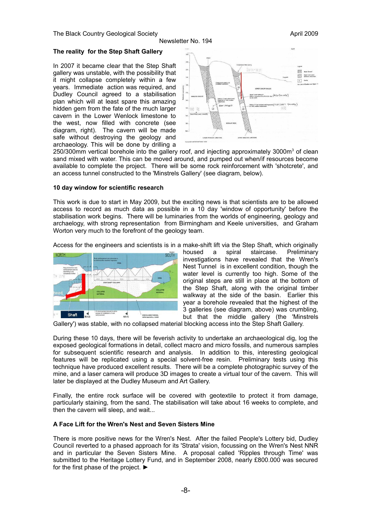#### **The reality for the Step Shaft Gallery**

In 2007 it became clear that the Step Shaft gallery was unstable, with the possibility that it might collapse completely within a few years. Immediate action was required, and Dudley Council agreed to a stabilisation plan which will at least spare this amazing hidden gem from the fate of the much larger cavern in the Lower Wenlock limestone to the west, now filled with concrete (see diagram, right). The cavern will be made safe without destroying the geology and archaeology. This will be done by drilling a



250/300mm vertical borehole into the gallery roof, and injecting approximately 3000m<sup>3</sup> of clean sand mixed with water. This can be moved around, and pumped out when/if resources become available to complete the project. There will be some rock reinforcement with 'shotcrete', and an access tunnel constructed to the 'Minstrels Gallery' (see diagram, below).

#### **10 day window for scientific research**

This work is due to start in May 2009, but the exciting news is that scientists are to be allowed access to record as much data as possible in a 10 day 'window of opportunity' before the stabilisation work begins. There will be luminaries from the worlds of engineering, geology and archaelogy, with strong representation from Birmingham and Keele universities, and Graham Worton very much to the forefront of the geology team.

Access for the engineers and scientists is in a make-shift lift via the Step Shaft, which originally



housed a spiral staircase. Preliminary investigations have revealed that the Wren's Nest Tunnel is in excellent condition, though the water level is currently too high. Some of the original steps are still in place at the bottom of the Step Shaft, along with the original timber walkway at the side of the basin. Earlier this year a borehole revealed that the highest of the 3 galleries (see diagram, above) was crumbling, but that the middle gallery (the 'Minstrels

Gallery') was stable, with no collapsed material blocking access into the Step Shaft Gallery.

During these 10 days, there will be feverish activity to undertake an archaeological dig, log the exposed geological formations in detail, collect macro and micro fossils, and numerous samples for subsequent scientific research and analysis. In addition to this, interesting geological features will be replicated using a special solvent-free resin. Preliminary tests using this technique have produced excellent results. There will be a complete photographic survey of the mine, and a laser camera will produce 3D images to create a virtual tour of the cavern. This will later be displayed at the Dudley Museum and Art Gallery.

Finally, the entire rock surface will be covered with geotextile to protect it from damage, particularly staining, from the sand. The stabilisation will take about 16 weeks to complete, and then the cavern will sleep, and wait...

#### **A Face Lift for the Wren's Nest and Seven Sisters Mine**

There is more positive news for the Wren's Nest. After the failed People's Lottery bid, Dudley Council reverted to a phased approach for its 'Strata' vision, focussing on the Wren's Nest NNR and in particular the Seven Sisters Mine. A proposal called 'Ripples through Time' was submitted to the Heritage Lottery Fund, and in September 2008, nearly £800.000 was secured for the first phase of the project. ►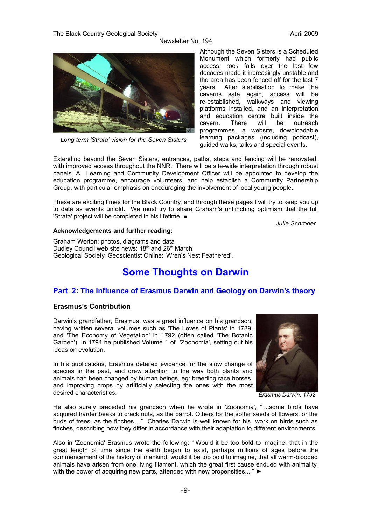The Black Country Geological Society April 2009 April 2009

Newsletter No. 194



*Long term 'Strata' vision for the Seven Sisters*

Although the Seven Sisters is a Scheduled Monument which formerly had public access, rock falls over the last few decades made it increasingly unstable and the area has been fenced off for the last 7 years After stabilisation to make the caverns safe again, access will be re-established, walkways and viewing platforms installed, and an interpretation and education centre built inside the cavern. There will be outreach programmes, a website, downloadable learning packages (including podcast), guided walks, talks and special events.

Extending beyond the Seven Sisters, entrances, paths, steps and fencing will be renovated, with improved access throughout the NNR. There will be site-wide interpretation through robust panels. A Learning and Community Development Officer will be appointed to develop the education programme, encourage volunteers, and help establish a Community Partnership Group, with particular emphasis on encouraging the involvement of local young people.

These are exciting times for the Black Country, and through these pages I will try to keep you up to date as events unfold. We must try to share Graham's unflinching optimism that the full 'Strata' project will be completed in his lifetime. ■

*Julie Schroder*

#### **Acknowledgements and further reading:**

Graham Worton: photos, diagrams and data Dudley Council web site news:  $18<sup>th</sup>$  and  $26<sup>th</sup>$  March Geological Society, Geoscientist Online: 'Wren's Nest Feathered'.

# **Some Thoughts on Darwin**

#### **Part 2: The Influence of Erasmus Darwin and Geology on Darwin's theory**

#### **Erasmus's Contribution**

Darwin's grandfather, Erasmus, was a great influence on his grandson, having written several volumes such as 'The Loves of Plants' in 1789, and 'The Economy of Vegetation' in 1792 (often called 'The Botanic Garden'). In 1794 he published Volume 1 of 'Zoonomia', setting out his ideas on evolution.

In his publications, Erasmus detailed evidence for the slow change of species in the past, and drew attention to the way both plants and animals had been changed by human beings, eg: breeding race horses, and improving crops by artificially selecting the ones with the most desired characteristics.



*Erasmus Darwin, 1792*

He also surely preceded his grandson when he wrote in 'Zoonomia', " ...some birds have acquired harder beaks to crack nuts, as the parrot. Others for the softer seeds of flowers, or the buds of trees, as the finches... " Charles Darwin is well known for his work on birds such as finches, describing how they differ in accordance with their adaptation to different environments.

Also in 'Zoonomia' Erasmus wrote the following: " Would it be too bold to imagine, that in the great length of time since the earth began to exist, perhaps millions of ages before the commencement of the history of mankind, would it be too bold to imagine, that all warm-blooded animals have arisen from one living filament, which the great first cause endued with animality, with the power of acquiring new parts, attended with new propensities... " ►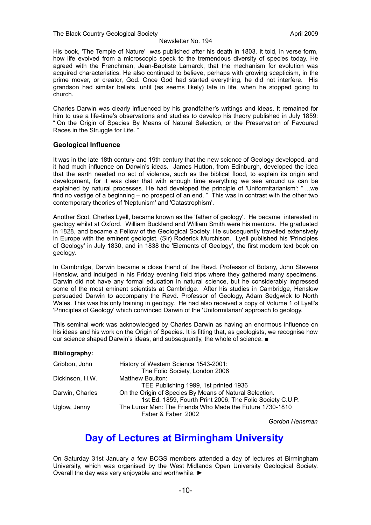His book, 'The Temple of Nature' was published after his death in 1803. It told, in verse form, how life evolved from a microscopic speck to the tremendous diversity of species today. He agreed with the Frenchman, Jean-Baptiste Lamarck, that the mechanism for evolution was acquired characteristics. He also continued to believe, perhaps with growing scepticism, in the prime mover, or creator, God. Once God had started everything, he did not interfere. His grandson had similar beliefs, until (as seems likely) late in life, when he stopped going to church.

Charles Darwin was clearly influenced by his grandfather's writings and ideas. It remained for him to use a life-time's observations and studies to develop his theory published in July 1859: " On the Origin of Species By Means of Natural Selection, or the Preservation of Favoured Races in the Struggle for Life.

#### **Geological Influence**

It was in the late 18th century and 19th century that the new science of Geology developed, and it had much influence on Darwin's ideas. James Hutton, from Edinburgh, developed the idea that the earth needed no act of violence, such as the biblical flood, to explain its origin and development, for it was clear that with enough time everything we see around us can be explained by natural processes. He had developed the principle of 'Uniformitarianism': " ...we find no vestige of a beginning – no prospect of an end. " This was in contrast with the other two contemporary theories of 'Neptunism' and 'Catastrophism'.

Another Scot, Charles Lyell, became known as the 'father of geology'. He became interested in geology whilst at Oxford. William Buckland and William Smith were his mentors. He graduated in 1828, and became a Fellow of the Geological Society. He subsequently travelled extensively in Europe with the eminent geologist, (Sir) Roderick Murchison. Lyell published his 'Principles of Geology' in July 1830, and in 1838 the 'Elements of Geology', the first modern text book on geology.

In Cambridge, Darwin became a close friend of the Revd. Professor of Botany, John Stevens Henslow, and indulged in his Friday evening field trips where they gathered many specimens. Darwin did not have any formal education in natural science, but he considerably impressed some of the most eminent scientists at Cambridge. After his studies in Cambridge, Henslow persuaded Darwin to accompany the Revd. Professor of Geology, Adam Sedgwick to North Wales. This was his only training in geology. He had also received a copy of Volume 1 of Lyell's 'Principles of Geology' which convinced Darwin of the 'Uniformitarian' approach to geology.

This seminal work was acknowledged by Charles Darwin as having an enormous influence on his ideas and his work on the Origin of Species. It is fitting that, as geologists, we recognise how our science shaped Darwin's ideas, and subsequently, the whole of science. ■

#### **Bibliography:**

| Gribbon, John   | History of Western Science 1543-2001:                                          |
|-----------------|--------------------------------------------------------------------------------|
|                 | The Folio Society, London 2006                                                 |
| Dickinson, H.W. | Matthew Boulton:                                                               |
|                 | TEE Publishing 1999, 1st printed 1936                                          |
| Darwin, Charles | On the Origin of Species By Means of Natural Selection.                        |
|                 | 1st Ed. 1859, Fourth Print 2006, The Folio Society C.U.P.                      |
| Uglow, Jenny    | The Lunar Men: The Friends Who Made the Future 1730-1810<br>Faber & Faber 2002 |
|                 |                                                                                |

*Gordon Hensman*

## **Day of Lectures at Birmingham University**

On Saturday 31st January a few BCGS members attended a day of lectures at Birmingham University, which was organised by the West Midlands Open University Geological Society. Overall the day was very enjoyable and worthwhile. ►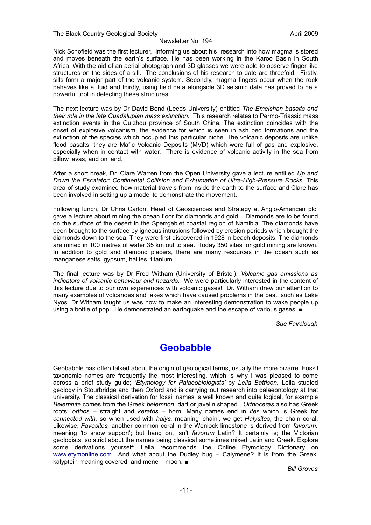Nick Schofield was the first lecturer, informing us about his research into how magma is stored and moves beneath the earth's surface. He has been working in the Karoo Basin in South Africa. With the aid of an aerial photograph and 3D glasses we were able to observe finger like structures on the sides of a sill. The conclusions of his research to date are threefold. Firstly, sills form a major part of the volcanic system. Secondly, magma fingers occur when the rock behaves like a fluid and thirdly, using field data alongside 3D seismic data has proved to be a powerful tool in detecting these structures.

The next lecture was by Dr David Bond (Leeds University) entitled *The Emeishan basalts and their role in the late Guadalupian mass extinction.* This research relates to Permo-Triassic mass extinction events in the Guizhou province of South China. The extinction coincides with the onset of explosive volcanism, the evidence for which is seen in ash bed formations and the extinction of the species which occupied this particular niche. The volcanic deposits are unlike flood basalts; they are Mafic Volcanic Deposits (MVD) which were full of gas and explosive, especially when in contact with water. There is evidence of volcanic activity in the sea from pillow lavas, and on land.

After a short break, Dr. Clare Warren from the Open University gave a lecture entitled *Up and Down the Escalator: Continental Collision and Exhumation of Ultra-High-Pressure Rocks*. This area of study examined how material travels from inside the earth to the surface and Clare has been involved in setting up a model to demonstrate the movement.

Following lunch, Dr Chris Carlon, Head of Geosciences and Strategy at Anglo-American plc, gave a lecture about mining the ocean floor for diamonds and gold. Diamonds are to be found on the surface of the desert in the Sperrgebiet coastal region of Namibia. The diamonds have been brought to the surface by igneous intrusions followed by erosion periods which brought the diamonds down to the sea. They were first discovered in 1928 in beach deposits. The diamonds are mined in 100 metres of water 35 km out to sea. Today 350 sites for gold mining are known. In addition to gold and diamond placers, there are many resources in the ocean such as manganese salts, gypsum, halites, titanium.

The final lecture was by Dr Fred Witham (University of Bristol): *Volcanic gas emissions as indicators of volcanic behaviour and hazards.* We were particularly interested in the content of this lecture due to our own experiences with volcanic gases! Dr. Witham drew our attention to many examples of volcanoes and lakes which have caused problems in the past, such as Lake Nyos. Dr Witham taught us was how to make an interesting demonstration to wake people up using a bottle of pop. He demonstrated an earthquake and the escape of various gases. ■

*Sue Fairclough*

## **Geobabble**

Geobabble has often talked about the origin of geological terms, usually the more bizarre. Fossil taxonomic names are frequently the most interesting, which is why I was pleased to come across a brief study guide; *'Etymology for Palaeobiologists'* by *Leila Battison.* Leila studied geology in Stourbridge and then Oxford and is carrying out research into palaeontology at that university. The classical derivation for fossil names is well known and quite logical, for example *Belemnite* comes from the Greek *belemnon,* dart or javelin shaped. *Orthoceras* also has Greek roots; *orthos –* straight and *keratos –* horn. Many names end in *ites* which is Greek for *connected with,* so when used with *halys,* meaning 'chain', we get *Halysites,* the chain coral. Likewise, *Favosites,* another common coral in the Wenlock limestone is derived from *favorum,* meaning *'*to show support'; but hang on, isn't *favorum* Latin? It certainly is; the Victorian geologists, so strict about the names being classical sometimes mixed Latin and Greek. Explore some derivations yourself; Leila recommends the Online Etymology Dictionary on [www.etymonline.com](http://www.etymonline.com/) And what about the Dudley bug – Calymene? It is from the Greek, kalyptein meaning covered, and mene – moon. ■

*Bill Groves*